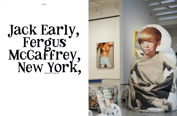

## Jack Early , Fergus McCaffrey , New York ,<br>,<br>, **1 8 Fe b r u a r y – 9 A p r i l , 2 0 1 6**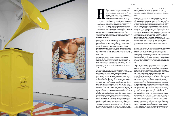

 $\frac{1}{202}$  words

easy, of course, to critique institutions; or to address our current environmental crisis, especially when you have the funds to, say, fly a bunch of glacial ice to Paris; or to maintain distance from any sort of content whatsoever by making objects—one hesitates to call them images, and this happens just as easily in three dimensions—that are six or seven times removed from whatever they resemble or were meant to

appiness is a dangerous thing for an artist. It's modernist autoerotic asphyxiation that masks

itself as "practice". These easy, played-out *Grant Wahlquist.* tactics, though once novel, are now all that seems left to artists. There is very little lust, or joy, or

misery, or beauty, or even ugliness, unless it's dressed up as something else: as ugly-beauty, or a critique of the lustful gaze, or "the simulacrum of joy inherent in late-capitalist neo-liberal commodity fetishism".

Of course, this isn't to say that happiness is a virtue in and of itself. Happiness is dangerous not only because it's out of vogue, but because it all too often makes for boring or thoughtless art. Moreover, most of us are miserable most of the time; or too busy chasing our own notions of happiness to have time to suffer through the happiness of others; or at bare minimum pretending to be impervious to happiness, swaddled in the weltschmerz and lack of enthusiasm that is in fact the prime affectation of those who crave a seat at the cultural table. Happiness is dangerous in all sorts of ways.

Jack Early isn't afraid to be happy. His exhibition at Fergus McCaffrey in New York pulses with joy, with paintings and sculptures that combine the innocence of childhood wishes, the throb of adult lust, and the artist's own story. Though Early does not shy away from the darker edges of that story or its embarrassing marginalia, the exhibition as a whole is a paean to

In the smaller rear gallery, four additional paintings surround a large yellow Victrola that rests on a red, white, and blue octagonal base, evoking both the American flag and a circus tent. *Bomb Pop*, 2015, picks up the red, white, and blue color scheme, blowing the icy dessert of its title up to appropriately phallic scale. In *Pool Boy*, 2014, Early has painted a slim, tan figure in pale blue swim trunks from mid-thigh to shoulder; Early captures every sensual detail, down to the pale-blonde body hair. *Tubes and Pubes*, 2015, is another depiction of the lower half of a jock, this time from navel to ankle. A veiny left arm rests on the left hip, the left thumb pulling down shorts to reveal pubic hair. The figure's right leg projects forward, bent at the knee, again showing off a pair of clean, striped tube socks. Deliberately or accidentally—my money's on the latter—his cock peeks out below his shorts, resting on his right thigh. Like *Hog Rider*, the other painting in the exhibition that clearly betrays the influence of beefcake imagery, the figure here is painted in black and white; Early renders his "hotter" images in cooler tones.

a goldfish, and a very non-plussed looking cat (Mr. Early, of course). The sculpture, viewed in conjunction with the surrounding paintings, suggests the domestic space in which a young Early might have encountered these images on a television screen.

*Grant Wahlquist*, address in the first place, a sort of late*by photography*

the pursuit of happiness. The main gallery is ringed with oil on silkscreened-canvas paintings, some measuring as large as 10 x 8 feet. The silkscreened backgrounds are a version of Early's childhood wallpaper, depicting cartoon Revolutionary War soldiers with their regalia, albeit modified such that the soldiers are holding hands. In the foreground, Early has painted exquisite images of various objects of desire –popsicles, marshmallows, and sugary cereal, but also extremely sexy renderings of homoerotic types. For example, in *Hog Rider,* 2015, a black-and-white leatherman in chaps sits on a motorcycle turned away from the viewer, his lower back arched such that his perfectly round ass is on prominent display. Similarly, *Sock Jock*, 2015, depicts a jock in white and red-striped socks with matching gym shorts from mid-calf to lower-torso; the figure's left foot extends in front of the right knee, caught mid-removal of a (suspiciously clean) sock, his crotch barely obscured. In these paintings, Early is not contrasting "adult" and "childish" desire are we still afraid to acknowledge childhood sexuality even all these years after Freud?—but placing them on an equal symbolic footing. A child does not differentiate between different sorts of desire, but merely wants this or that, and early enough in life, these desires are simply felt, rather than stratified. (That comes later, although usually earlier in certain respects for queer kids.) The center of this first gallery also features *Jack, Mr. Early and Friends*, 2016, a soft sculpture portrait of Early as a young child watching television surrounded by an army of hamsters (gerbils?), The heart of the exhibition, *Jack Early's Life Story in Just Under 20 Minutes* demonstrates the hard-won happiness that suffuses the exhibition as a whole. It does not shy away from difficult details (the portrait of Confederate General Robert E. Lee in Early's childhood living room, a trip to witness a skydiving demonstration gone wrong) or charmingly embarrassing anecdotes (Early performing Tiny Tim's "Tip Toe Through the Tulips" in grammar school talent shows, or getting caught with a "drugstore stash" of Geritol). Nor does it gloss over other aspects of Early's story that another artist might recount in a maudlin or even traumatized tone (growing up queer in North Carolina, or with severe asthma). Instead, Early recounts a variety of details about his life, from the sexual to the artistic to the mundane, as equally interesting and important to the person he has become. The story proceeds more or less linearly, but also makes symbolic jags, as when Early transitions from recounting visiting a psychologist in his youth (potentially to treat what sounds like a bout of obsessive-compulsive disorder) to relating three stories about his early experience with penises. The transition hinges on a single remark made by the psychologist ("I know what your problem is, your penis isn't as big as the other guys in gym class"); like all good storytellers, Early makes narrative turns on a dime while never losing the logic of the larger story along the way. Near the conclusion of the song, after an artistic low point –"Pruitt-Early started like this… [ascending major chords] … And then ended like this … [descending minor chords and sad, muted trumpet] … "—Early decides not to think about art anymore and becomes a housepainter. He fills his head with songs. He has a vision that a

## **Review** 75

*Jack Early's Life Story in Just Under 20 Minutes*, 2014, plays on the Victrola gramophone in the center of the room. The sound emanating from the yellow LP can be heard throughout the exhibition space, albeit at a comfortable volume that beckons the listener to come closer and hear Early's tale, which is accompanied by an upbeat, jazzy tune played by a small ensemble (trumpet, banjo, bass, clarinet, pump organs, and drums). The piece delivers what it promises—Early's life story from his birth as a "cute, little redheaded baby in the year 1962" to his recent artistic downs and ups.

*702 words*

*by*